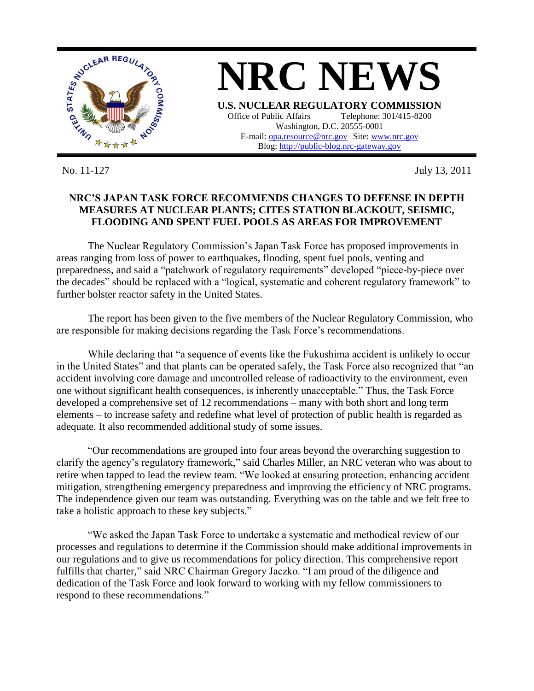

No. 11-127 July 13, 2011

## **NRC'S JAPAN TASK FORCE RECOMMENDS CHANGES TO DEFENSE IN DEPTH MEASURES AT NUCLEAR PLANTS; CITES STATION BLACKOUT, SEISMIC, FLOODING AND SPENT FUEL POOLS AS AREAS FOR IMPROVEMENT**

The Nuclear Regulatory Commission's Japan Task Force has proposed improvements in areas ranging from loss of power to earthquakes, flooding, spent fuel pools, venting and preparedness, and said a "patchwork of regulatory requirements" developed "piece-by-piece over the decades" should be replaced with a "logical, systematic and coherent regulatory framework" to further bolster reactor safety in the United States.

The report has been given to the five members of the Nuclear Regulatory Commission, who are responsible for making decisions regarding the Task Force's recommendations.

While declaring that "a sequence of events like the Fukushima accident is unlikely to occur in the United States" and that plants can be operated safely, the Task Force also recognized that "an accident involving core damage and uncontrolled release of radioactivity to the environment, even one without significant health consequences, is inherently unacceptable." Thus, the Task Force developed a comprehensive set of 12 recommendations – many with both short and long term elements – to increase safety and redefine what level of protection of public health is regarded as adequate. It also recommended additional study of some issues.

"Our recommendations are grouped into four areas beyond the overarching suggestion to clarify the agency's regulatory framework," said Charles Miller, an NRC veteran who was about to retire when tapped to lead the review team. "We looked at ensuring protection, enhancing accident mitigation, strengthening emergency preparedness and improving the efficiency of NRC programs. The independence given our team was outstanding. Everything was on the table and we felt free to take a holistic approach to these key subjects."

"We asked the Japan Task Force to undertake a systematic and methodical review of our processes and regulations to determine if the Commission should make additional improvements in our regulations and to give us recommendations for policy direction. This comprehensive report fulfills that charter," said NRC Chairman Gregory Jaczko. "I am proud of the diligence and dedication of the Task Force and look forward to working with my fellow commissioners to respond to these recommendations."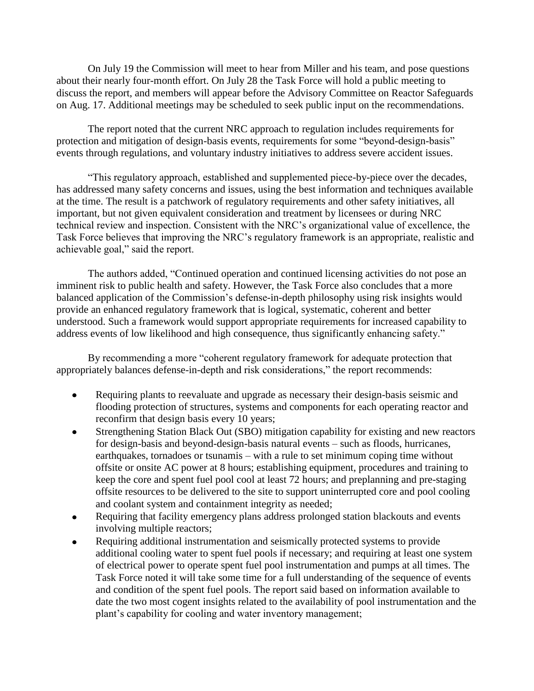On July 19 the Commission will meet to hear from Miller and his team, and pose questions about their nearly four-month effort. On July 28 the Task Force will hold a public meeting to discuss the report, and members will appear before the Advisory Committee on Reactor Safeguards on Aug. 17. Additional meetings may be scheduled to seek public input on the recommendations.

The report noted that the current NRC approach to regulation includes requirements for protection and mitigation of design-basis events, requirements for some "beyond-design-basis" events through regulations, and voluntary industry initiatives to address severe accident issues.

"This regulatory approach, established and supplemented piece-by-piece over the decades, has addressed many safety concerns and issues, using the best information and techniques available at the time. The result is a patchwork of regulatory requirements and other safety initiatives, all important, but not given equivalent consideration and treatment by licensees or during NRC technical review and inspection. Consistent with the NRC's organizational value of excellence, the Task Force believes that improving the NRC's regulatory framework is an appropriate, realistic and achievable goal," said the report.

The authors added, "Continued operation and continued licensing activities do not pose an imminent risk to public health and safety. However, the Task Force also concludes that a more balanced application of the Commission's defense-in-depth philosophy using risk insights would provide an enhanced regulatory framework that is logical, systematic, coherent and better understood. Such a framework would support appropriate requirements for increased capability to address events of low likelihood and high consequence, thus significantly enhancing safety."

By recommending a more "coherent regulatory framework for adequate protection that appropriately balances defense-in-depth and risk considerations," the report recommends:

- Requiring plants to reevaluate and upgrade as necessary their design-basis seismic and  $\bullet$ flooding protection of structures, systems and components for each operating reactor and reconfirm that design basis every 10 years;
- Strengthening Station Black Out (SBO) mitigation capability for existing and new reactors for design-basis and beyond-design-basis natural events – such as floods, hurricanes, earthquakes, tornadoes or tsunamis – with a rule to set minimum coping time without offsite or onsite AC power at 8 hours; establishing equipment, procedures and training to keep the core and spent fuel pool cool at least 72 hours; and preplanning and pre-staging offsite resources to be delivered to the site to support uninterrupted core and pool cooling and coolant system and containment integrity as needed;
- Requiring that facility emergency plans address prolonged station blackouts and events involving multiple reactors;
- Requiring additional instrumentation and seismically protected systems to provide additional cooling water to spent fuel pools if necessary; and requiring at least one system of electrical power to operate spent fuel pool instrumentation and pumps at all times. The Task Force noted it will take some time for a full understanding of the sequence of events and condition of the spent fuel pools. The report said based on information available to date the two most cogent insights related to the availability of pool instrumentation and the plant's capability for cooling and water inventory management;